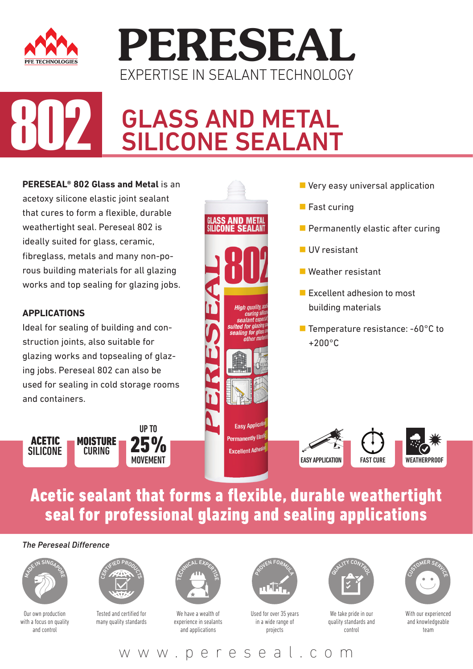



# **GLASS AND METAL**<br>SILICONE SEALANT

**PERESEAL® 802 Glass and Metal** is an acetoxy silicone elastic joint sealant that cures to form a flexible, durable weathertight seal. Pereseal 802 is ideally suited for glass, ceramic, fibreglass, metals and many non-porous building materials for all glazing works and top sealing for glazing jobs.

#### **APPLICATIONS**

Ideal for sealing of building and construction joints, also suitable for glazing works and topsealing of glazing jobs. Pereseal 802 can also be used for sealing in cold storage rooms and containers.

25% MOVEMENT UP TO **MOISTURE CURING** ACETIC SILICONE



- **Very easy universal application**
- **Fast curing**
- $\blacksquare$  Permanently elastic after curing
- **UV** resistant
- Weather resistant
- **Excellent adhesion to most** building materials
- Temperature resistance: -60°C to +200°C



### Acetic sealant that forms a flexible, durable weathertight seal for professional glazing and sealing applications

#### *The Pereseal Difference*



Our own production with a focus on quality and control



Tested and certified for many quality standards



We have a wealth of experience in sealants and applications



Used for over 35 years in a wide range of projects



We take pride in our quality standards and control



With our experienced and knowledgeable team

www.pereseal.com